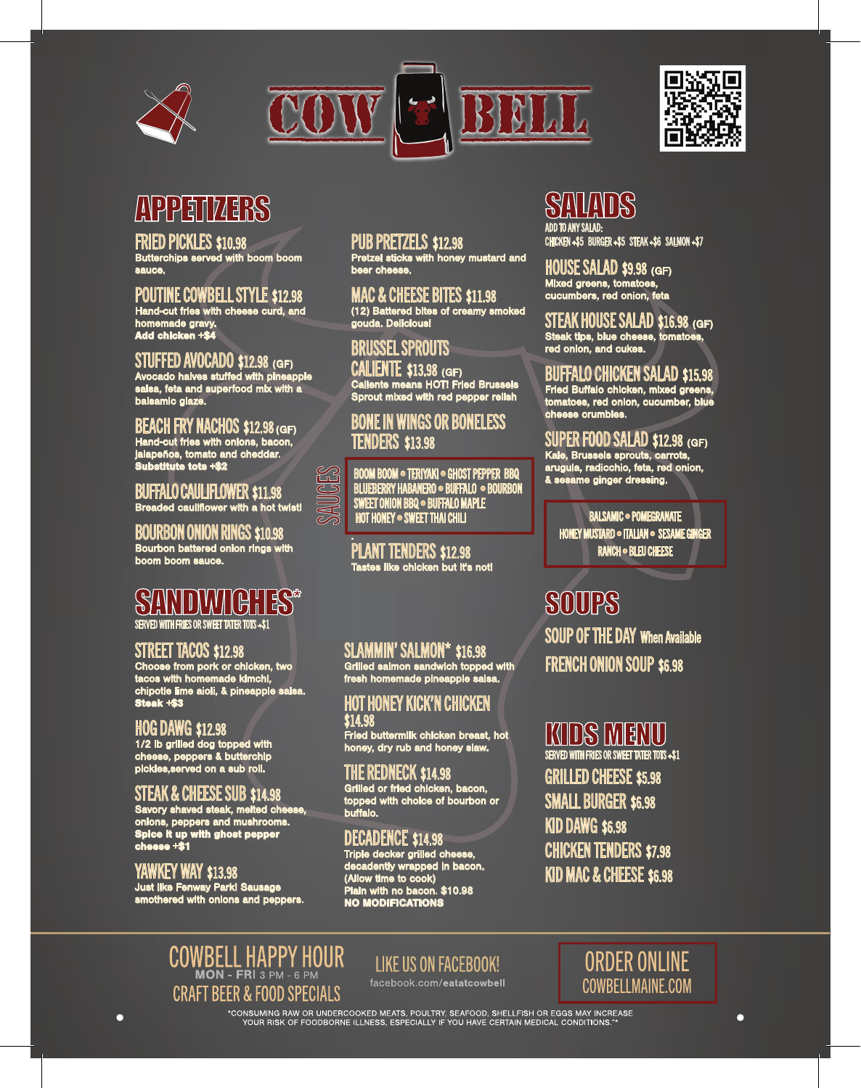





# APPETIZERS

#### FRIED PICKLES \$10.98

Butterchips served with boom boom sauce.

#### POUTINE COWBELL STYLE \$12.98 Hand-cut fries with cheese curd, and

homemade gravy. Add chicken +\$4

#### STUFFED AVOCADO \$12.98 (GF) Avocado halves stuffed with pineapple

salsa, feta and superfood mix with a balsamic glaze.

#### BEACH FRY NACHOS \$12.98 (GF) Hand-cut fries with onions, bacon, jalapeños, tomato and cheddar. Substitute tots +\$2

BUFFALO CAULIFLOWER \$11.98 Breaded cauliflower with a hot twist!

#### BOURBON ONION RINGS \$10.98 Bourbon battered onion rings with boom boom sauce.

### SANDWICHES\* SERVED WITH FRIES OR SWEET TATER TOTS +\$1

STREET TACOS \$12.98 Choose from pork or chicken, two tacos with homemade kimchi, chipotle lime aioli, & pineapple salsa. Steak +\$3

### HOG DAWG \$12.98

1/2 lb grilled dog topped with cheese, peppers & butterchip pickles,served on a sub roll.

#### STEAK & CHEESE SUB \$14.98

Savory shaved steak, melted cheese, onions, peppers and mushrooms. Spice it up with ghost pepper cheese +\$1

#### YAWKEY WAY \$13.98

 $\overline{\mathbf{O}}$ 

Just like Fenway Park! Sausage smothered with onions and peppers.

#### PUB PRETZELS \$12.98

Pretzel sticks with honey mustard and beer cheese.

MAC & CHEESE BITES \$11.98 (12) Battered bites of creamy smoked gouda. Delicious!

### BRUSSEL SPROUTS

CALIENTE \$13.98 (GF) Caliente means HOT! Fried Brussels Sprout mixed with red pepper relish

#### BONE IN WINGS OR BONELESS TENDERS \$13.98

SAUCES BOOM BOOM • TERIYAKI • GHOST PEPPER BBQ<br>SAUCES BRANERY HABANERO • BUFFALO • BOURBOI<br>SAUCES HOT HONEY • SWEET THAI CHILI<br>HOT HONEY • SWEET THAI CHILI BLUEBERRY HABANERO • BUFFALO • BOURBON SWEET ONION BBQ • BUFFALO MAPLE **HOT HONEY • SWEET THAI CHILI** 

#### . PLANT TENDERS \$12.98 es like chicken but it's not!

#### SLAMMIN' SALMON\* \$16.98

Grilled salmon sandwich topped with fresh homemade pineapple salsa.

#### HOT HONEY KICK'N CHICKEN \$14.98 Fried buttermilk chicken breast, hot honey, dry rub and honey slaw.

THE REDNECK \$14.98 Grilled or fried chicken, bacon, topped with choice of bourbon or buffalo.

### DECADENCE \$14.98

Triple decker grilled cheese, decadently wrapped in bacon. (Allow time to cook) Plain with no bacon. \$10.98 NO MODIFICATIONS

# SALAI

ADD TO ANY SALAD: CHICKEN +\$5 BURGER +\$5 STEAK +\$6 SALMON +\$7

HOUSE SALAD \$9.98 (GF) Mixed greens, tomatoes, cucumbers, red onion, feta

STEAK HOUSE SALAD \$16.98 (GF) Steak tips, blue cheese, tomatoes, red onion, and cukes.

#### BUFFALO CHICKEN SALAD \$15.98

Fried Buffalo chicken, mixed greens, tomatoes, red onion, cucumber, blue cheese crumbles.

#### SUPER FOOD SALAD \$12.98 (GF)

Kale, Brussels sprouts, carrots, arugula, radicchio, feta, red onion, & sesame ginger dressing.

BALSAMIC · POMEGRANATE HONEY MUSTARD · ITALIAN · SESAME GINGER RANCH • BLEU CHEESE

**SOUPS** SOUP OF THE DAY When Available FRENCH ONION SOUP \$6.98

# KIDS MENU

SERVED WITH FRIES OR SWEET TATER TOTS +\$1 GRILLED CHEESE \$5.98 SMALL BURGER \$6.98 KID DAWG \$6.98 CHICKEN TENDERS \$7.98 KID MAC & CHEESE \$6.98

# COWBELL HAPPY HOUR **CRAFT BEER & FOOD SPECIALS**

### **LIKE US ON FACEBOOK!**

facebook.com/eatatcowbell

## ORDER ONLINE COWBELLMAINE.COM

 $\bullet$ 

\*CONSUMING RAW OR UNDERCOOKED MEATS, POULTRY, SEAFOOD, SHELLFISH OR EGGS MAY INCREASE<br>\*\*\* YOUR RISK OF FOODBORNE ILLNESS, ESPECIALLY IF YOU HAVE CERTAIN MEDICAL CONDITIONS.